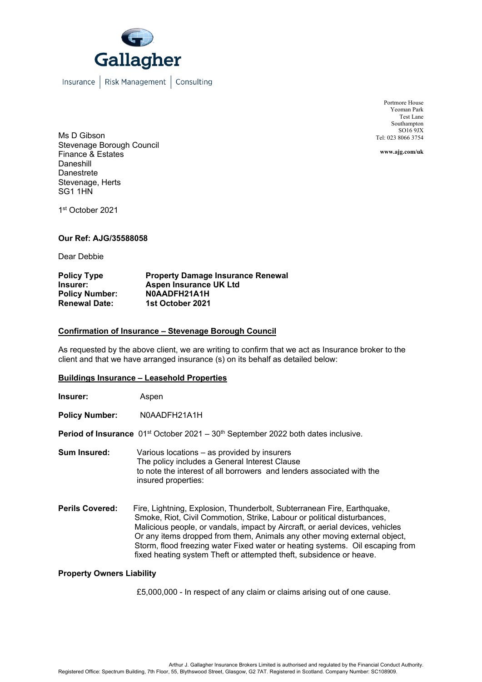

Insurance | Risk Management | Consulting

Portmore House Yeoman Park Test Lane Southampton  $SO169JX$ Tel: 023 8066 3754

**www.ajg.com/uk**

Ms D Gibson Stevenage Borough Council Finance & Estates Daneshill Danestrete Stevenage, Herts SG1 1HN

1st October 2021

### **Our Ref: AJG/35588058**

Dear Debbie

| <b>Policy Type</b>    | <b>Property Damage Insurance Renewal</b> |
|-----------------------|------------------------------------------|
| Insurer:              | Aspen Insurance UK Ltd                   |
| <b>Policy Number:</b> | N0AADFH21A1H                             |
| <b>Renewal Date:</b>  | 1st October 2021                         |

### **Confirmation of Insurance – Stevenage Borough Council**

As requested by the above client, we are writing to confirm that we act as Insurance broker to the client and that we have arranged insurance (s) on its behalf as detailed below:

#### **Buildings Insurance – Leasehold Properties**

| Insurer: | Aspen |
|----------|-------|
|----------|-------|

Policy Number: N0AADFH21A1H

**Period of Insurance** 01<sup>st</sup> October 2021 – 30<sup>th</sup> September 2022 both dates inclusive.

**Sum Insured:** Various locations – as provided by insurers The policy includes a General Interest Clause to note the interest of all borrowers and lenders associated with the insured properties:

**Perils Covered:** Fire, Lightning, Explosion, Thunderbolt, Subterranean Fire, Earthquake, Smoke, Riot, Civil Commotion, Strike, Labour or political disturbances, Malicious people, or vandals, impact by Aircraft, or aerial devices, vehicles Or any items dropped from them, Animals any other moving external object, Storm, flood freezing water Fixed water or heating systems. Oil escaping from fixed heating system Theft or attempted theft, subsidence or heave.

#### **Property Owners Liability**

£5,000,000 - In respect of any claim or claims arising out of one cause.